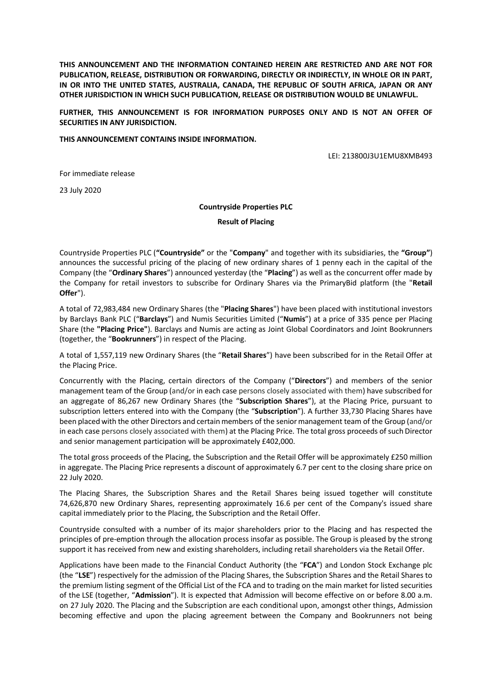**THIS ANNOUNCEMENT AND THE INFORMATION CONTAINED HEREIN ARE RESTRICTED AND ARE NOT FOR PUBLICATION, RELEASE, DISTRIBUTION OR FORWARDING, DIRECTLY OR INDIRECTLY, IN WHOLE OR IN PART, IN OR INTO THE UNITED STATES, AUSTRALIA, CANADA, THE REPUBLIC OF SOUTH AFRICA, JAPAN OR ANY OTHER JURISDICTION IN WHICH SUCH PUBLICATION, RELEASE OR DISTRIBUTION WOULD BE UNLAWFUL.**

**FURTHER, THIS ANNOUNCEMENT IS FOR INFORMATION PURPOSES ONLY AND IS NOT AN OFFER OF SECURITIES IN ANY JURISDICTION.**

**THIS ANNOUNCEMENT CONTAINS INSIDE INFORMATION.**

LEI: 213800J3U1EMU8XMB493

For immediate release

23 July 2020

#### **Countryside Properties PLC**

**Result of Placing**

Countryside Properties PLC (**"Countryside"** or the "**Company**" and together with its subsidiaries, the **"Group"**) announces the successful pricing of the placing of new ordinary shares of 1 penny each in the capital of the Company (the "**Ordinary Shares**") announced yesterday (the "**Placing**") as well as the concurrent offer made by the Company for retail investors to subscribe for Ordinary Shares via the PrimaryBid platform (the "**Retail Offer**").

A total of 72,983,484 new Ordinary Shares (the "**Placing Shares**") have been placed with institutional investors by Barclays Bank PLC ("**Barclays**") and Numis Securities Limited ("**Numis**") at a price of 335 pence per Placing Share (the **"Placing Price"**). Barclays and Numis are acting as Joint Global Coordinators and Joint Bookrunners (together, the "**Bookrunners**") in respect of the Placing.

A total of 1,557,119 new Ordinary Shares (the "**Retail Shares**") have been subscribed for in the Retail Offer at the Placing Price.

Concurrently with the Placing, certain directors of the Company ("**Directors**") and members of the senior management team of the Group (and/or in each case persons closely associated with them) have subscribed for an aggregate of 86,267 new Ordinary Shares (the "**Subscription Shares**"), at the Placing Price, pursuant to subscription letters entered into with the Company (the "**Subscription**"). A further 33,730 Placing Shares have been placed with the other Directors and certain members of the senior management team of the Group (and/or in each case persons closely associated with them) at the Placing Price. The total gross proceeds of such Director and senior management participation will be approximately £402,000.

The total gross proceeds of the Placing, the Subscription and the Retail Offer will be approximately £250 million in aggregate. The Placing Price represents a discount of approximately 6.7 per cent to the closing share price on 22 July 2020.

The Placing Shares, the Subscription Shares and the Retail Shares being issued together will constitute 74,626,870 new Ordinary Shares, representing approximately 16.6 per cent of the Company's issued share capital immediately prior to the Placing, the Subscription and the Retail Offer.

Countryside consulted with a number of its major shareholders prior to the Placing and has respected the principles of pre-emption through the allocation process insofar as possible. The Group is pleased by the strong support it has received from new and existing shareholders, including retail shareholders via the Retail Offer.

Applications have been made to the Financial Conduct Authority (the "**FCA**") and London Stock Exchange plc (the "**LSE**") respectively for the admission of the Placing Shares, the Subscription Shares and the Retail Shares to the premium listing segment of the Official List of the FCA and to trading on the main market for listed securities of the LSE (together, "**Admission**"). It is expected that Admission will become effective on or before 8.00 a.m. on 27 July 2020. The Placing and the Subscription are each conditional upon, amongst other things, Admission becoming effective and upon the placing agreement between the Company and Bookrunners not being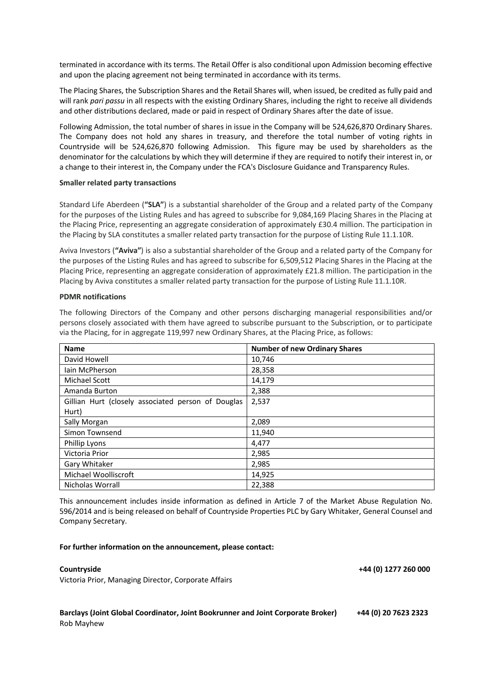terminated in accordance with its terms. The Retail Offer is also conditional upon Admission becoming effective and upon the placing agreement not being terminated in accordance with its terms.

The Placing Shares, the Subscription Shares and the Retail Shares will, when issued, be credited as fully paid and will rank *pari passu* in all respects with the existing Ordinary Shares, including the right to receive all dividends and other distributions declared, made or paid in respect of Ordinary Shares after the date of issue.

Following Admission, the total number of shares in issue in the Company will be 524,626,870 Ordinary Shares. The Company does not hold any shares in treasury, and therefore the total number of voting rights in Countryside will be 524,626,870 following Admission. This figure may be used by shareholders as the denominator for the calculations by which they will determine if they are required to notify their interest in, or a change to their interest in, the Company under the FCA's Disclosure Guidance and Transparency Rules.

# **Smaller related party transactions**

Standard Life Aberdeen (**"SLA"**) is a substantial shareholder of the Group and a related party of the Company for the purposes of the Listing Rules and has agreed to subscribe for 9,084,169 Placing Shares in the Placing at the Placing Price, representing an aggregate consideration of approximately £30.4 million. The participation in the Placing by SLA constitutes a smaller related party transaction for the purpose of Listing Rule 11.1.10R.

Aviva Investors (**"Aviva"**) is also a substantial shareholder of the Group and a related party of the Company for the purposes of the Listing Rules and has agreed to subscribe for 6,509,512 Placing Shares in the Placing at the Placing Price, representing an aggregate consideration of approximately £21.8 million. The participation in the Placing by Aviva constitutes a smaller related party transaction for the purpose of Listing Rule 11.1.10R.

# **PDMR notifications**

The following Directors of the Company and other persons discharging managerial responsibilities and/or persons closely associated with them have agreed to subscribe pursuant to the Subscription, or to participate via the Placing, for in aggregate 119,997 new Ordinary Shares, at the Placing Price, as follows:

| <b>Name</b>                                        | <b>Number of new Ordinary Shares</b> |
|----------------------------------------------------|--------------------------------------|
| David Howell                                       | 10,746                               |
| lain McPherson                                     | 28,358                               |
| <b>Michael Scott</b>                               | 14.179                               |
| Amanda Burton                                      | 2,388                                |
| Gillian Hurt (closely associated person of Douglas | 2,537                                |
| Hurt)                                              |                                      |
| Sally Morgan                                       | 2,089                                |
| Simon Townsend                                     | 11,940                               |
| <b>Phillip Lyons</b>                               | 4,477                                |
| Victoria Prior                                     | 2,985                                |
| Gary Whitaker                                      | 2,985                                |
| Michael Woolliscroft                               | 14,925                               |
| <b>Nicholas Worrall</b>                            | 22,388                               |

This announcement includes inside information as defined in Article 7 of the Market Abuse Regulation No. 596/2014 and is being released on behalf of Countryside Properties PLC by Gary Whitaker, General Counsel and Company Secretary.

## **For further information on the announcement, please contact:**

Victoria Prior, Managing Director, Corporate Affairs

**Countryside +44 (0) 1277 260 000**

**Barclays (Joint Global Coordinator, Joint Bookrunner and Joint Corporate Broker) +44 (0) 20 7623 2323** Rob Mayhew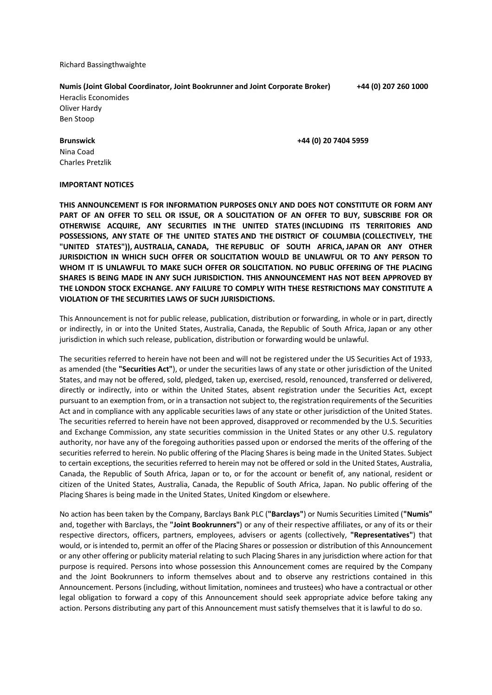Richard Bassingthwaighte

**Numis (Joint Global Coordinator, Joint Bookrunner and Joint Corporate Broker) +44 (0) 207 260 1000**

Heraclis Economides Oliver Hardy Ben Stoop

## **Brunswick +44 (0) 20 7404 5959**

Nina Coad Charles Pretzlik

# **IMPORTANT NOTICES**

**THIS ANNOUNCEMENT IS FOR INFORMATION PURPOSES ONLY AND DOES NOT CONSTITUTE OR FORM ANY PART OF AN OFFER TO SELL OR ISSUE, OR A SOLICITATION OF AN OFFER TO BUY, SUBSCRIBE FOR OR OTHERWISE ACQUIRE, ANY SECURITIES IN THE UNITED STATES (INCLUDING ITS TERRITORIES AND POSSESSIONS, ANY STATE OF THE UNITED STATES AND THE DISTRICT OF COLUMBIA (COLLECTIVELY, THE "UNITED STATES")), AUSTRALIA, CANADA, THE REPUBLIC OF SOUTH AFRICA, JAPAN OR ANY OTHER JURISDICTION IN WHICH SUCH OFFER OR SOLICITATION WOULD BE UNLAWFUL OR TO ANY PERSON TO WHOM IT IS UNLAWFUL TO MAKE SUCH OFFER OR SOLICITATION. NO PUBLIC OFFERING OF THE PLACING SHARES IS BEING MADE IN ANY SUCH JURISDICTION. THIS ANNOUNCEMENT HAS NOT BEEN APPROVED BY THE LONDON STOCK EXCHANGE. ANY FAILURE TO COMPLY WITH THESE RESTRICTIONS MAY CONSTITUTE A VIOLATION OF THE SECURITIES LAWS OF SUCH JURISDICTIONS.**

This Announcement is not for public release, publication, distribution or forwarding, in whole or in part, directly or indirectly, in or into the United States, Australia, Canada, the Republic of South Africa, Japan or any other jurisdiction in which such release, publication, distribution or forwarding would be unlawful.

The securities referred to herein have not been and will not be registered under the US Securities Act of 1933, as amended (the **"Securities Act"**), or under the securities laws of any state or other jurisdiction of the United States, and may not be offered, sold, pledged, taken up, exercised, resold, renounced, transferred or delivered, directly or indirectly, into or within the United States, absent registration under the Securities Act, except pursuant to an exemption from, or in a transaction not subject to, the registration requirements of the Securities Act and in compliance with any applicable securities laws of any state or other jurisdiction of the United States. The securities referred to herein have not been approved, disapproved or recommended by the U.S. Securities and Exchange Commission, any state securities commission in the United States or any other U.S. regulatory authority, nor have any of the foregoing authorities passed upon or endorsed the merits of the offering of the securities referred to herein. No public offering of the Placing Shares is being made in the United States. Subject to certain exceptions, the securities referred to herein may not be offered or sold in the United States, Australia, Canada, the Republic of South Africa, Japan or to, or for the account or benefit of, any national, resident or citizen of the United States, Australia, Canada, the Republic of South Africa, Japan. No public offering of the Placing Shares is being made in the United States, United Kingdom or elsewhere.

No action has been taken by the Company, Barclays Bank PLC (**"Barclays"**) or Numis Securities Limited (**"Numis"** and, together with Barclays, the **"Joint Bookrunners"**) or any of their respective affiliates, or any of its or their respective directors, officers, partners, employees, advisers or agents (collectively, **"Representatives"**) that would, or is intended to, permit an offer of the Placing Shares or possession or distribution of this Announcement or any other offering or publicity material relating to such Placing Shares in any jurisdiction where action for that purpose is required. Persons into whose possession this Announcement comes are required by the Company and the Joint Bookrunners to inform themselves about and to observe any restrictions contained in this Announcement. Persons (including, without limitation, nominees and trustees) who have a contractual or other legal obligation to forward a copy of this Announcement should seek appropriate advice before taking any action. Persons distributing any part of this Announcement must satisfy themselves that it is lawful to do so.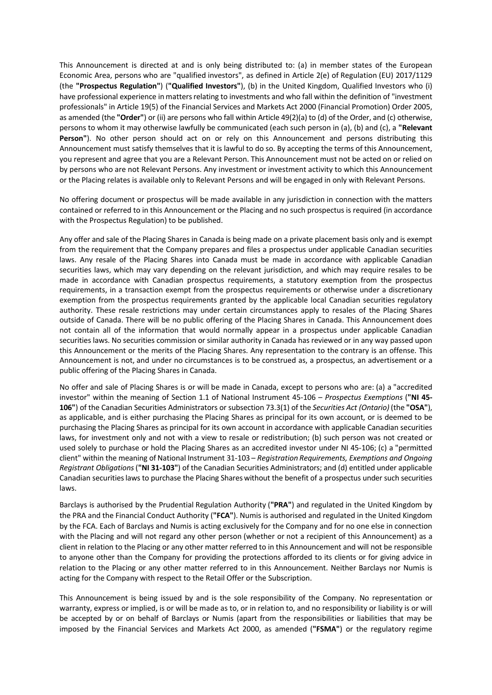This Announcement is directed at and is only being distributed to: (a) in member states of the European Economic Area, persons who are "qualified investors", as defined in Article 2(e) of Regulation (EU) 2017/1129 (the **"Prospectus Regulation"**) (**"Qualified Investors"**), (b) in the United Kingdom, Qualified Investors who (i) have professional experience in matters relating to investments and who fall within the definition of "investment professionals" in Article 19(5) of the Financial Services and Markets Act 2000 (Financial Promotion) Order 2005, as amended (the **"Order"**) or (ii) are persons who fall within Article 49(2)(a) to (d) of the Order, and (c) otherwise, persons to whom it may otherwise lawfully be communicated (each such person in (a), (b) and (c), a **"Relevant Person"**). No other person should act on or rely on this Announcement and persons distributing this Announcement must satisfy themselves that it is lawful to do so. By accepting the terms of this Announcement, you represent and agree that you are a Relevant Person. This Announcement must not be acted on or relied on by persons who are not Relevant Persons. Any investment or investment activity to which this Announcement or the Placing relates is available only to Relevant Persons and will be engaged in only with Relevant Persons.

No offering document or prospectus will be made available in any jurisdiction in connection with the matters contained or referred to in this Announcement or the Placing and no such prospectus is required (in accordance with the Prospectus Regulation) to be published.

Any offer and sale of the Placing Shares in Canada is being made on a private placement basis only and is exempt from the requirement that the Company prepares and files a prospectus under applicable Canadian securities laws. Any resale of the Placing Shares into Canada must be made in accordance with applicable Canadian securities laws, which may vary depending on the relevant jurisdiction, and which may require resales to be made in accordance with Canadian prospectus requirements, a statutory exemption from the prospectus requirements, in a transaction exempt from the prospectus requirements or otherwise under a discretionary exemption from the prospectus requirements granted by the applicable local Canadian securities regulatory authority. These resale restrictions may under certain circumstances apply to resales of the Placing Shares outside of Canada. There will be no public offering of the Placing Shares in Canada. This Announcement does not contain all of the information that would normally appear in a prospectus under applicable Canadian securities laws. No securities commission or similar authority in Canada has reviewed or in any way passed upon this Announcement or the merits of the Placing Shares. Any representation to the contrary is an offense. This Announcement is not, and under no circumstances is to be construed as, a prospectus, an advertisement or a public offering of the Placing Shares in Canada.

No offer and sale of Placing Shares is or will be made in Canada, except to persons who are: (a) a "accredited investor" within the meaning of Section 1.1 of National Instrument 45-106 – *Prospectus Exemptions* (**"NI 45- 106"**) of the Canadian Securities Administrators or subsection 73.3(1) of the *Securities Act (Ontario)* (the **"OSA"**), as applicable, and is either purchasing the Placing Shares as principal for its own account, or is deemed to be purchasing the Placing Shares as principal for its own account in accordance with applicable Canadian securities laws, for investment only and not with a view to resale or redistribution; (b) such person was not created or used solely to purchase or hold the Placing Shares as an accredited investor under NI 45-106; (c) a "permitted client" within the meaning of National Instrument 31-103 – *Registration Requirements, Exemptions and Ongoing Registrant Obligations*(**"NI 31-103"**) of the Canadian Securities Administrators; and (d) entitled under applicable Canadian securities laws to purchase the Placing Shares without the benefit of a prospectus under such securities laws.

Barclays is authorised by the Prudential Regulation Authority (**"PRA"**) and regulated in the United Kingdom by the PRA and the Financial Conduct Authority (**"FCA"**). Numis is authorised and regulated in the United Kingdom by the FCA. Each of Barclays and Numis is acting exclusively for the Company and for no one else in connection with the Placing and will not regard any other person (whether or not a recipient of this Announcement) as a client in relation to the Placing or any other matter referred to in this Announcement and will not be responsible to anyone other than the Company for providing the protections afforded to its clients or for giving advice in relation to the Placing or any other matter referred to in this Announcement. Neither Barclays nor Numis is acting for the Company with respect to the Retail Offer or the Subscription.

This Announcement is being issued by and is the sole responsibility of the Company. No representation or warranty, express or implied, is or will be made as to, or in relation to, and no responsibility or liability is or will be accepted by or on behalf of Barclays or Numis (apart from the responsibilities or liabilities that may be imposed by the Financial Services and Markets Act 2000, as amended (**"FSMA"**) or the regulatory regime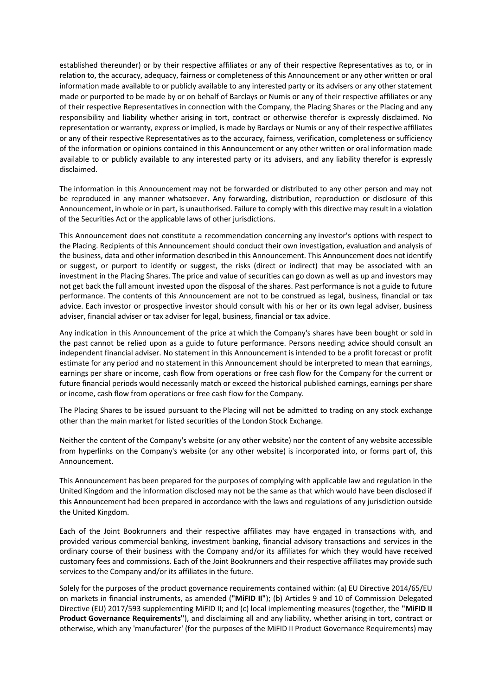established thereunder) or by their respective affiliates or any of their respective Representatives as to, or in relation to, the accuracy, adequacy, fairness or completeness of this Announcement or any other written or oral information made available to or publicly available to any interested party or its advisers or any other statement made or purported to be made by or on behalf of Barclays or Numis or any of their respective affiliates or any of their respective Representatives in connection with the Company, the Placing Shares or the Placing and any responsibility and liability whether arising in tort, contract or otherwise therefor is expressly disclaimed. No representation or warranty, express or implied, is made by Barclays or Numis or any of their respective affiliates or any of their respective Representatives as to the accuracy, fairness, verification, completeness or sufficiency of the information or opinions contained in this Announcement or any other written or oral information made available to or publicly available to any interested party or its advisers, and any liability therefor is expressly disclaimed.

The information in this Announcement may not be forwarded or distributed to any other person and may not be reproduced in any manner whatsoever. Any forwarding, distribution, reproduction or disclosure of this Announcement, in whole or in part, is unauthorised. Failure to comply with this directive may result in a violation of the Securities Act or the applicable laws of other jurisdictions.

This Announcement does not constitute a recommendation concerning any investor's options with respect to the Placing. Recipients of this Announcement should conduct their own investigation, evaluation and analysis of the business, data and other information described in this Announcement. This Announcement does not identify or suggest, or purport to identify or suggest, the risks (direct or indirect) that may be associated with an investment in the Placing Shares. The price and value of securities can go down as well as up and investors may not get back the full amount invested upon the disposal of the shares. Past performance is not a guide to future performance. The contents of this Announcement are not to be construed as legal, business, financial or tax advice. Each investor or prospective investor should consult with his or her or its own legal adviser, business adviser, financial adviser or tax adviser for legal, business, financial or tax advice.

Any indication in this Announcement of the price at which the Company's shares have been bought or sold in the past cannot be relied upon as a guide to future performance. Persons needing advice should consult an independent financial adviser. No statement in this Announcement is intended to be a profit forecast or profit estimate for any period and no statement in this Announcement should be interpreted to mean that earnings, earnings per share or income, cash flow from operations or free cash flow for the Company for the current or future financial periods would necessarily match or exceed the historical published earnings, earnings per share or income, cash flow from operations or free cash flow for the Company.

The Placing Shares to be issued pursuant to the Placing will not be admitted to trading on any stock exchange other than the main market for listed securities of the London Stock Exchange.

Neither the content of the Company's website (or any other website) nor the content of any website accessible from hyperlinks on the Company's website (or any other website) is incorporated into, or forms part of, this Announcement.

This Announcement has been prepared for the purposes of complying with applicable law and regulation in the United Kingdom and the information disclosed may not be the same as that which would have been disclosed if this Announcement had been prepared in accordance with the laws and regulations of any jurisdiction outside the United Kingdom.

Each of the Joint Bookrunners and their respective affiliates may have engaged in transactions with, and provided various commercial banking, investment banking, financial advisory transactions and services in the ordinary course of their business with the Company and/or its affiliates for which they would have received customary fees and commissions. Each of the Joint Bookrunners and their respective affiliates may provide such services to the Company and/or its affiliates in the future.

Solely for the purposes of the product governance requirements contained within: (a) EU Directive 2014/65/EU on markets in financial instruments, as amended (**"MiFID II"**); (b) Articles 9 and 10 of Commission Delegated Directive (EU) 2017/593 supplementing MiFID II; and (c) local implementing measures (together, the **"MiFID II Product Governance Requirements"**), and disclaiming all and any liability, whether arising in tort, contract or otherwise, which any 'manufacturer' (for the purposes of the MiFID II Product Governance Requirements) may